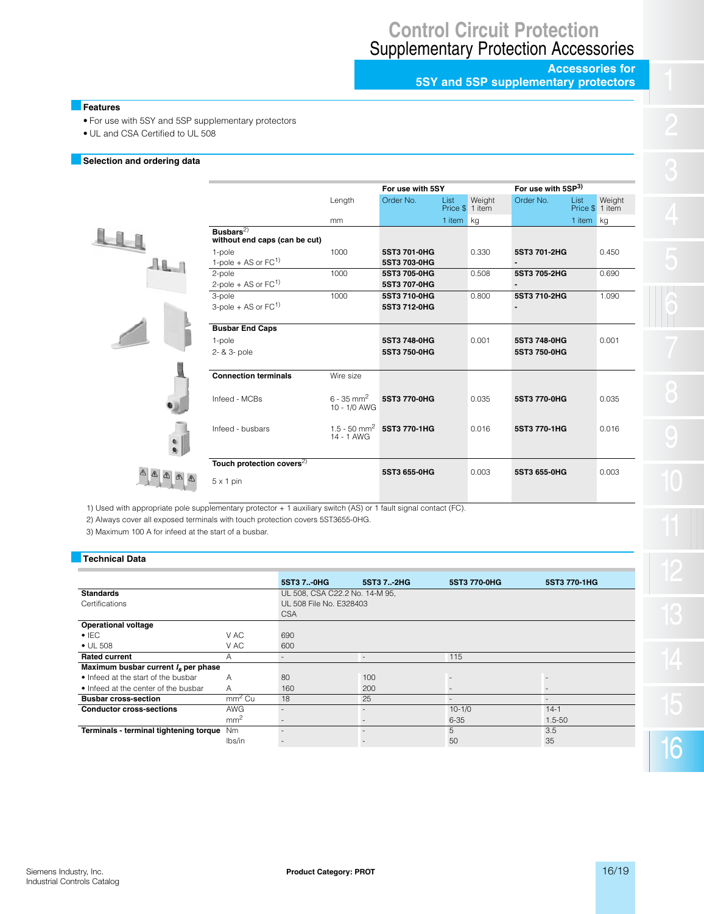# **Control Circuit Protection** Supplementary Protection Accessories

**Accessories for 5SY and 5SP supplementary protectors**

#### **Features**

l

- For use with 5SY and 5SP supplementary protectors
- UL and CSA Certified to UL 508

#### **Selection and ordering data**

| <b>Busbar</b><br>without |
|--------------------------|
| 1-pole                   |
| $1-pole +$               |
| 2-pole                   |
| $2-pole +$               |
| 3-pole                   |
| $3-pole +$               |
| <b>Busbar</b>            |
| 1-pole                   |
| $2 - 8 - 3 - 1$          |
|                          |
| Conned                   |

|                                                           | For use with 5SY                         |                              |                  |                  | For use with 5SP <sup>3)</sup> |                  |                  |  |
|-----------------------------------------------------------|------------------------------------------|------------------------------|------------------|------------------|--------------------------------|------------------|------------------|--|
|                                                           | Length                                   | Order No.                    | List<br>Price \$ | Weight<br>1 item | Order No.                      | List<br>Price \$ | Weight<br>1 item |  |
|                                                           | mm                                       |                              | 1 item           | kg               |                                | 1 item           | kg               |  |
| Busbars <sup>2)</sup><br>without end caps (can be cut)    |                                          |                              |                  |                  |                                |                  |                  |  |
| 1-pole<br>1-pole + AS or $FC1$                            | 1000                                     | 5ST3 701-0HG<br>5ST3 703-0HG |                  | 0.330            | 5ST3 701-2HG                   |                  | 0.450            |  |
| 2-pole<br>2-pole + AS or $FC1$                            | 1000                                     | 5ST3 705-0HG<br>5ST3 707-0HG |                  | 0.508            | 5ST3 705-2HG<br>-              |                  | 0.690            |  |
| 3-pole<br>3-pole + AS or $FC1$                            | 1000                                     | 5ST3 710-0HG<br>5ST3 712-0HG |                  | 0.800            | 5ST3 710-2HG                   |                  | 1.090            |  |
| <b>Busbar End Caps</b><br>1-pole<br>2- & 3- pole          |                                          | 5ST3 748-0HG<br>5ST3 750-0HG |                  | 0.001            | 5ST3 748-0HG<br>5ST3 750-0HG   |                  | 0.001            |  |
| <b>Connection terminals</b>                               | Wire size                                |                              |                  |                  |                                |                  |                  |  |
| Infeed - MCBs                                             | $6 - 35$ mm <sup>2</sup><br>10 - 1/0 AWG | 5ST3 770-0HG                 |                  | 0.035            | 5ST3 770-0HG                   |                  | 0.035            |  |
| Infeed - busbars                                          | $1.5 - 50$ mm <sup>2</sup><br>14 - 1 AWG | 5ST3 770-1HG                 |                  | 0.016            | 5ST3 770-1HG                   |                  | 0.016            |  |
| Touch protection covers <sup>2)</sup><br>$5 \times 1$ pin |                                          | 5ST3 655-0HG                 |                  | 0.003            | 5ST3 655-0HG                   |                  | 0.003            |  |

1) Used with appropriate pole supplementary protector + 1 auxiliary switch (AS) or 1 fault signal contact (FC).

2) Always cover all exposed terminals with touch protection covers 5ST3655-0HG.

3) Maximum 100 A for infeed at the start of a busbar.

 $\mathbb{Q}$   $\mathbb{Q}$ 

 $\mathbb{Q}$ 

### **Technical Data**

|                                        |                 | 5ST3 7 0HG                     | 5ST3 7 2HG | 5ST3 770-0HG             | 5ST3 770-1HG             |
|----------------------------------------|-----------------|--------------------------------|------------|--------------------------|--------------------------|
| <b>Standards</b>                       |                 | UL 508, CSA C22.2 No. 14-M 95, |            |                          |                          |
| Certifications                         |                 | UL 508 File No. F328403        |            |                          |                          |
|                                        |                 | <b>CSA</b>                     |            |                          |                          |
| <b>Operational voltage</b>             |                 |                                |            |                          |                          |
| $\bullet$ IEC                          | V AC            | 690                            |            |                          |                          |
| $\bullet$ UL 508                       | V AC            | 600                            |            |                          |                          |
| <b>Rated current</b>                   | Α               |                                |            | 115                      |                          |
| Maximum busbar current $I_s$ per phase |                 |                                |            |                          |                          |
| • Infeed at the start of the busbar    | A               | 80                             | 100        |                          |                          |
| • Infeed at the center of the busbar   | A               | 160                            | 200        |                          | $\overline{\phantom{m}}$ |
| <b>Busbar cross-section</b>            | $mm2$ Cu        | 18                             | 25         | $\overline{\phantom{0}}$ | $\overline{\phantom{a}}$ |
| <b>Conductor cross-sections</b>        | <b>AWG</b>      |                                |            | $10 - 1/0$               | $14-1$                   |
|                                        | mm <sup>2</sup> |                                |            | $6 - 35$                 | $1.5 - 50$               |
| Terminals - terminal tightening torque | <b>Nm</b>       |                                |            | 5                        | 3.5                      |
|                                        | lbs/in          |                                |            | 50                       | 35                       |